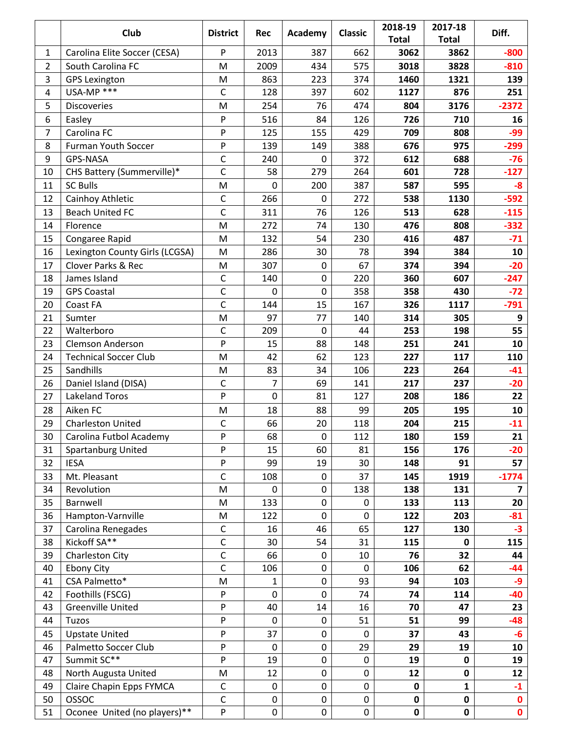|                | Club                           | <b>District</b>           | <b>Rec</b>  | Academy          | <b>Classic</b>   | 2018-19      | 2017-18      | Diff.          |
|----------------|--------------------------------|---------------------------|-------------|------------------|------------------|--------------|--------------|----------------|
|                |                                |                           |             |                  |                  | <b>Total</b> | <b>Total</b> |                |
| 1              | Carolina Elite Soccer (CESA)   | P                         | 2013        | 387              | 662              | 3062         | 3862         | $-800$         |
| $\overline{2}$ | South Carolina FC              | M                         | 2009        | 434              | 575              | 3018         | 3828         | $-810$         |
| 3              | <b>GPS Lexington</b>           | M                         | 863         | 223              | 374              | 1460         | 1321         | 139            |
| $\overline{4}$ | USA-MP ***                     | C                         | 128         | 397              | 602              | 1127         | 876          | 251            |
| 5              | <b>Discoveries</b>             | M                         | 254         | 76               | 474              | 804          | 3176         | $-2372$        |
| 6              | Easley                         | P                         | 516         | 84               | 126              | 726          | 710          | 16             |
| $\overline{7}$ | Carolina FC                    | $\mathsf{P}$              | 125         | 155              | 429              | 709          | 808          | $-99$          |
| 8              | <b>Furman Youth Soccer</b>     | P                         | 139         | 149              | 388              | 676          | 975          | $-299$         |
| 9              | GPS-NASA                       | $\mathsf C$               | 240         | $\mathbf 0$      | 372              | 612          | 688          | $-76$          |
| 10             | CHS Battery (Summerville)*     | C                         | 58          | 279              | 264              | 601          | 728          | $-127$         |
| 11             | <b>SC Bulls</b>                | M                         | $\mathbf 0$ | 200              | 387              | 587          | 595          | $-8$           |
| 12             | Cainhoy Athletic               | $\mathsf C$               | 266         | $\mathbf 0$      | 272              | 538          | 1130         | $-592$         |
| 13             | <b>Beach United FC</b>         | C                         | 311         | 76               | 126              | 513          | 628          | $-115$         |
| 14             | Florence                       | M                         | 272         | 74               | 130              | 476          | 808          | $-332$         |
| 15             | Congaree Rapid                 | M                         | 132         | 54               | 230              | 416          | 487          | $-71$          |
| 16             | Lexington County Girls (LCGSA) | M                         | 286         | 30               | 78               | 394          | 384          | 10             |
| 17             | <b>Clover Parks &amp; Rec</b>  | M                         | 307         | $\boldsymbol{0}$ | 67               | 374          | 394          | $-20$          |
| 18             | James Island                   | C                         | 140         | $\mathbf 0$      | 220              | 360          | 607          | $-247$         |
| 19             | <b>GPS Coastal</b>             | C                         | $\mathbf 0$ | $\mathbf 0$      | 358              | 358          | 430          | $-72$          |
| 20             | Coast FA                       | C                         | 144         | 15               | 167              | 326          | 1117         | $-791$         |
| 21             | Sumter                         | M                         | 97          | 77               | 140              | 314          | 305          | 9              |
| 22             | Walterboro                     | C                         | 209         | $\mathbf 0$      | 44               | 253          | 198          | 55             |
| 23             | <b>Clemson Anderson</b>        | P                         | 15          | 88               | 148              | 251          | 241          | 10             |
| 24             | <b>Technical Soccer Club</b>   | M                         | 42          | 62               | 123              | 227          | 117          | 110            |
| 25             | Sandhills                      | M                         | 83          | 34               | 106              | 223          | 264          | $-41$          |
| 26             | Daniel Island (DISA)           | C                         | 7           | 69               | 141              | 217          | 237          | $-20$          |
| 27             | Lakeland Toros                 | P                         | $\mathbf 0$ | 81               | 127              | 208          | 186          | 22             |
| 28             | Aiken FC                       | M                         | 18          | 88               | 99               | 205          | 195          | 10             |
| 29             | <b>Charleston United</b>       | $\mathsf C$               | 66          | 20               | 118              | 204          | 215          | $-11$          |
| 30             | Carolina Futbol Academy        | ${\sf P}$                 | 68          | $\boldsymbol{0}$ | 112              | 180          | 159          | 21             |
| 31             | <b>Spartanburg United</b>      | P                         | 15          | 60               | 81               | 156          | 176          | $-20$          |
| 32             | <b>IESA</b>                    | P                         | 99          | 19               | 30               | 148          | 91           | 57             |
| 33             | Mt. Pleasant                   | $\mathsf C$               | 108         | $\mathbf 0$      | 37               | 145          | 1919         | $-1774$        |
| 34             | Revolution                     | M                         | $\mathbf 0$ | $\pmb{0}$        | 138              | 138          | 131          | $\overline{7}$ |
| 35             | Barnwell                       | M                         | 133         | $\pmb{0}$        | $\boldsymbol{0}$ | 133          | 113          | 20             |
| 36             | Hampton-Varnville              | M                         | 122         | $\mathbf 0$      | $\mathbf 0$      | 122          | 203          | $-81$          |
| 37             | Carolina Renegades             | $\mathsf C$               | 16          | 46               | 65               | 127          | 130          | $-3$           |
| 38             | Kickoff SA**                   | $\mathsf{C}$              | 30          | 54               | 31               | 115          | 0            | 115            |
| 39             | Charleston City                | $\mathsf C$               | 66          | 0                | 10               | 76           | 32           | 44             |
| 40             | Ebony City                     | $\mathsf{C}$              | 106         | $\mathbf 0$      | $\mathbf 0$      | 106          | 62           | $-44$          |
| 41             | CSA Palmetto*                  | M                         | 1           | $\mathbf 0$      | 93               | 94           | 103          | -9             |
| 42             | Foothills (FSCG)               | ${\sf P}$                 | $\mathbf 0$ | $\mathbf 0$      | 74               | 74           | 114          | -40            |
| 43             | <b>Greenville United</b>       | P                         | 40          | 14               | 16               | 70           | 47           | 23             |
| 44             | Tuzos                          | P                         | $\mathbf 0$ | $\mathbf 0$      | 51               | 51           | 99           | $-48$          |
| 45             | <b>Upstate United</b>          | ${\sf P}$                 | 37          | $\pmb{0}$        | $\mathbf 0$      | 37           | 43           | $-6$           |
| 46             | Palmetto Soccer Club           | P                         | $\pmb{0}$   | $\mathbf 0$      | 29               | 29           | 19           | 10             |
| 47             | Summit SC**                    | $\boldsymbol{\mathsf{P}}$ | 19          | $\pmb{0}$        | $\boldsymbol{0}$ | 19           | 0            | 19             |
| 48             | North Augusta United           | M                         | 12          | $\pmb{0}$        | $\pmb{0}$        | 12           | 0            | 12             |
| 49             | Claire Chapin Epps FYMCA       | $\mathsf C$               | $\mathbf 0$ | $\mathbf 0$      | $\mathbf 0$      | $\mathbf 0$  | $\mathbf{1}$ | $-1$           |
| 50             | OSSOC                          | $\mathsf C$               | $\pmb{0}$   | $\mathbf 0$      | $\pmb{0}$        | $\mathbf 0$  | $\mathbf 0$  | $\mathbf 0$    |
| 51             | Oconee United (no players)**   | ${\sf P}$                 | $\pmb{0}$   | $\pmb{0}$        | $\pmb{0}$        | $\pmb{0}$    | 0            | $\mathbf{0}$   |